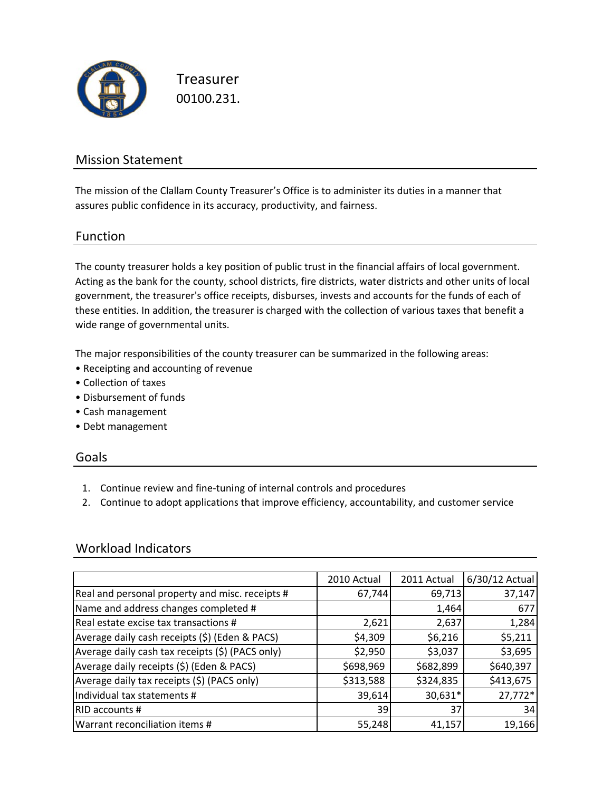

Treasurer 00100.231.

### Mission Statement

The mission of the Clallam County Treasurer's Office is to administer its duties in a manner that assures public confidence in its accuracy, productivity, and fairness.

### Function

The county treasurer holds a key position of public trust in the financial affairs of local government. Acting as the bank for the county, school districts, fire districts, water districts and other units of local government, the treasurer's office receipts, disburses, invests and accounts for the funds of each of these entities. In addition, the treasurer is charged with the collection of various taxes that benefit a wide range of governmental units.

The major responsibilities of the county treasurer can be summarized in the following areas:

- Receipting and accounting of revenue
- Collection of taxes
- Disbursement of funds
- Cash management
- Debt management

#### Goals

- 1. Continue review and fine‐tuning of internal controls and procedures
- 2. Continue to adopt applications that improve efficiency, accountability, and customer service

### Workload Indicators

|                                                  | 2010 Actual | 2011 Actual | 6/30/12 Actual |
|--------------------------------------------------|-------------|-------------|----------------|
| Real and personal property and misc. receipts #  | 67,744      | 69,713      | 37,147         |
| Name and address changes completed #             |             | 1,464       | 677            |
| Real estate excise tax transactions #            | 2,621       | 2,637       | 1,284          |
| Average daily cash receipts (\$) (Eden & PACS)   | \$4,309     | \$6,216     | \$5,211        |
| Average daily cash tax receipts (\$) (PACS only) | \$2,950     | \$3,037     | \$3,695        |
| Average daily receipts (\$) (Eden & PACS)        | \$698,969   | \$682,899   | \$640,397      |
| Average daily tax receipts (\$) (PACS only)      | \$313,588   | \$324,835   | \$413,675      |
| Individual tax statements #                      | 39,614      | 30,631*     | 27,772*        |
| RID accounts #                                   | 39          | 37          | 34             |
| Warrant reconciliation items #                   | 55,248      | 41,157      | 19,166         |